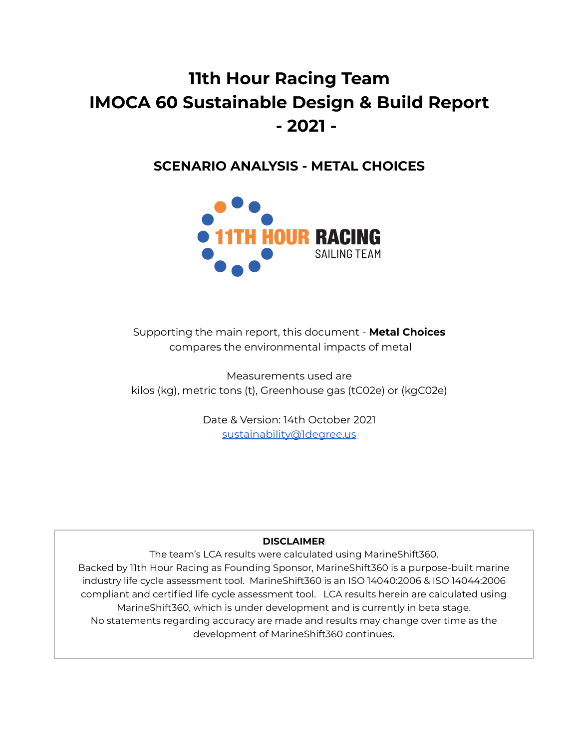# **11th Hour Racing Team IMOCA 60 Sustainable Design & Build Report - 2021 -**

**SCENARIO ANALYSIS - METAL CHOICES**



Supporting the main report, this document - **Metal Choices** compares the environmental impacts of metal

Measurements used are kilos (kg), metric tons (t), Greenhouse gas (tC02e) or (kgC02e)

> Date & Version: 14th October 2021 [sustainability@1degree.us](mailto:sustainability@1degree.us)

# **DISCLAIMER**

The team's LCA results were calculated using MarineShift360. Backed by 11th Hour Racing as Founding Sponsor, MarineShift360 is a purpose-built marine industry life cycle assessment tool. MarineShift360 is an ISO 14040:2006 & ISO 14044:2006 compliant and certified life cycle assessment tool. LCA results herein are calculated using MarineShift360, which is under development and is currently in beta stage. No statements regarding accuracy are made and results may change over time as the development of MarineShift360 continues.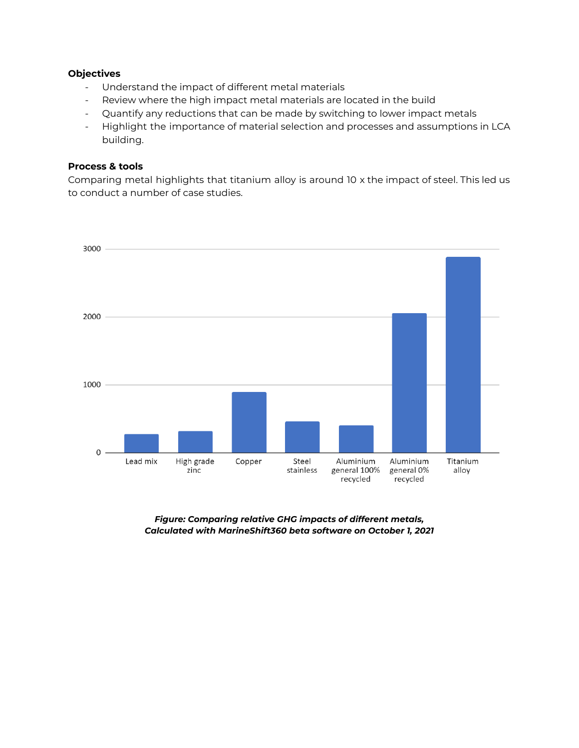#### **Objectives**

- Understand the impact of different metal materials
- Review where the high impact metal materials are located in the build
- Quantify any reductions that can be made by switching to lower impact metals
- Highlight the importance of material selection and processes and assumptions in LCA building.

#### **Process & tools**

Comparing metal highlights that titanium alloy is around 10 x the impact of steel. This led us to conduct a number of case studies.



*Figure: Comparing relative GHG impacts of different metals, Calculated with MarineShift360 beta software on October 1, 2021*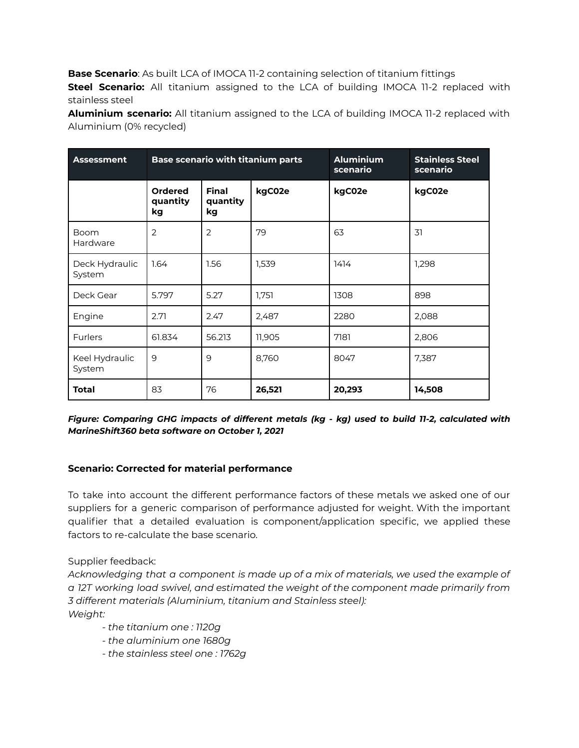**Base Scenario**: As built LCA of IMOCA 11-2 containing selection of titanium fittings **Steel Scenario:** All titanium assigned to the LCA of building IMOCA 11-2 replaced with stainless steel

**Aluminium scenario:** All titanium assigned to the LCA of building IMOCA 11-2 replaced with Aluminium (0% recycled)

| <b>Assessment</b>        | <b>Base scenario with titanium parts</b> |                                | <b>Aluminium</b><br>scenario | <b>Stainless Steel</b><br>scenario |        |
|--------------------------|------------------------------------------|--------------------------------|------------------------------|------------------------------------|--------|
|                          | <b>Ordered</b><br>quantity<br>kg         | <b>Final</b><br>quantity<br>kg | kgC02e                       | kgC02e                             | kgC02e |
| <b>Boom</b><br>Hardware  | 2                                        | $\overline{2}$                 | 79                           | 63                                 | 31     |
| Deck Hydraulic<br>System | 1.64                                     | 1.56                           | 1,539                        | 1414                               | 1,298  |
| Deck Gear                | 5.797                                    | 5.27                           | 1,751                        | 1308                               | 898    |
| Engine                   | 2.71                                     | 2.47                           | 2,487                        | 2280                               | 2,088  |
| <b>Furlers</b>           | 61.834                                   | 56.213                         | 11,905                       | 7181                               | 2,806  |
| Keel Hydraulic<br>System | 9                                        | 9                              | 8,760                        | 8047                               | 7,387  |
| Total                    | 83                                       | 76                             | 26,521                       | 20,293                             | 14,508 |

*Figure: Comparing GHG impacts of different metals (kg - kg) used to build 11-2, calculated with MarineShift360 beta software on October 1, 2021*

# **Scenario: Corrected for material performance**

To take into account the different performance factors of these metals we asked one of our suppliers for a generic comparison of performance adjusted for weight. With the important qualifier that a detailed evaluation is component/application specific, we applied these factors to re-calculate the base scenario.

Supplier feedback:

*Acknowledging that a component is made up of a mix of materials, we used the example of a 12T working load swivel, and estimated the weight of the component made primarily from 3 different materials (Aluminium, titanium and Stainless steel): Weight:*

- *- the titanium one : 1120g*
- *- the aluminium one 1680g*
- *- the stainless steel one : 1762g*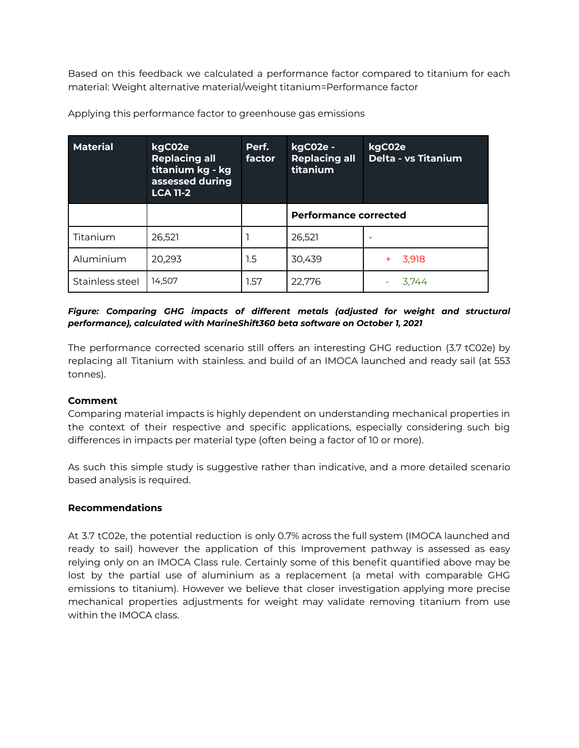Based on this feedback we calculated a performance factor compared to titanium for each material: Weight alternative material/weight titanium=Performance factor

| <b>Material</b> | kgC02e<br><b>Replacing all</b><br>titanium kg - kg<br>assessed during<br><b>LCA 11-2</b> | Perf.<br>factor | kgC02e -<br><b>Replacing all</b><br>titanium | kgC02e<br>Delta - vs Titanium |  |
|-----------------|------------------------------------------------------------------------------------------|-----------------|----------------------------------------------|-------------------------------|--|
|                 |                                                                                          |                 | <b>Performance corrected</b>                 |                               |  |
| Titanium        | 26,521                                                                                   |                 | 26,521                                       |                               |  |
| Aluminium       | 20,293                                                                                   | 1.5             | 30,439                                       | 3,918                         |  |
| Stainless steel | 14,507                                                                                   | 1.57            | 22,776                                       | 3.744                         |  |

Applying this performance factor to greenhouse gas emissions

## *Figure: Comparing GHG impacts of different metals (adjusted for weight and structural performance), calculated with MarineShift360 beta software on October 1, 2021*

The performance corrected scenario still offers an interesting GHG reduction (3.7 tC02e) by replacing all Titanium with stainless. and build of an IMOCA launched and ready sail (at 553 tonnes).

#### **Comment**

Comparing material impacts is highly dependent on understanding mechanical properties in the context of their respective and specific applications, especially considering such big differences in impacts per material type (often being a factor of 10 or more).

As such this simple study is suggestive rather than indicative, and a more detailed scenario based analysis is required.

#### **Recommendations**

At 3.7 tC02e, the potential reduction is only 0.7% across the full system (IMOCA launched and ready to sail) however the application of this Improvement pathway is assessed as easy relying only on an IMOCA Class rule. Certainly some of this benefit quantified above may be lost by the partial use of aluminium as a replacement (a metal with comparable GHG emissions to titanium). However we believe that closer investigation applying more precise mechanical properties adjustments for weight may validate removing titanium from use within the IMOCA class.